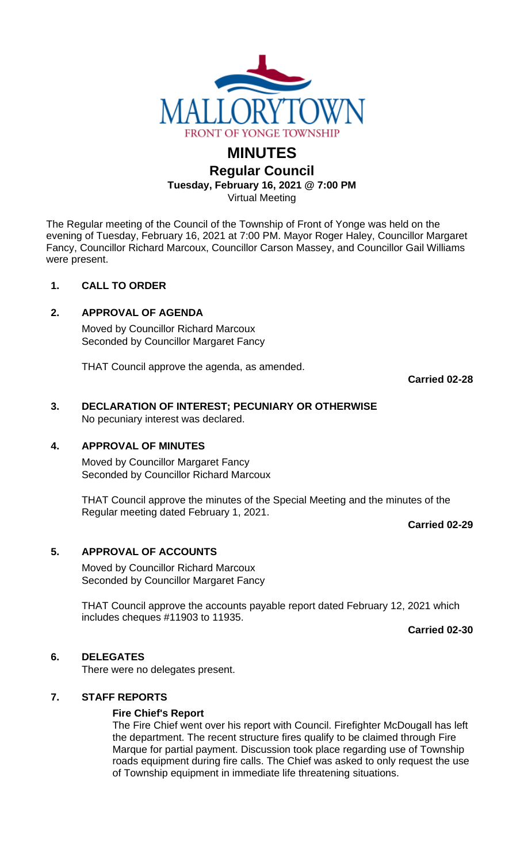

# **MINUTES**

**Regular Council** 

**Tuesday, February 16, 2021 @ 7:00 PM**

Virtual Meeting

The Regular meeting of the Council of the Township of Front of Yonge was held on the evening of Tuesday, February 16, 2021 at 7:00 PM. Mayor Roger Haley, Councillor Margaret Fancy, Councillor Richard Marcoux, Councillor Carson Massey, and Councillor Gail Williams were present.

## **1. CALL TO ORDER**

## **2. APPROVAL OF AGENDA**

Moved by Councillor Richard Marcoux Seconded by Councillor Margaret Fancy

THAT Council approve the agenda, as amended.

**Carried 02-28**

# **3. DECLARATION OF INTEREST; PECUNIARY OR OTHERWISE** No pecuniary interest was declared.

## **4. APPROVAL OF MINUTES**

Moved by Councillor Margaret Fancy Seconded by Councillor Richard Marcoux

THAT Council approve the minutes of the Special Meeting and the minutes of the Regular meeting dated February 1, 2021.

**Carried 02-29**

# **5. APPROVAL OF ACCOUNTS**

Moved by Councillor Richard Marcoux Seconded by Councillor Margaret Fancy

THAT Council approve the accounts payable report dated February 12, 2021 which includes cheques #11903 to 11935.

**Carried 02-30**

## **6. DELEGATES**

There were no delegates present.

## **7. STAFF REPORTS**

## **Fire Chief's Report**

The Fire Chief went over his report with Council. Firefighter McDougall has left the department. The recent structure fires qualify to be claimed through Fire Marque for partial payment. Discussion took place regarding use of Township roads equipment during fire calls. The Chief was asked to only request the use of Township equipment in immediate life threatening situations.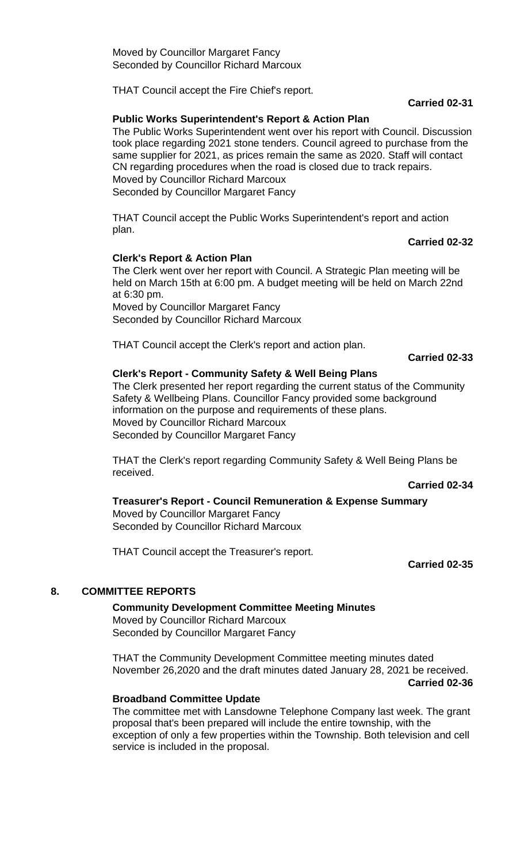THAT Council accept the Fire Chief's report.

**Carried 02-31**

#### **Public Works Superintendent's Report & Action Plan**

The Public Works Superintendent went over his report with Council. Discussion took place regarding 2021 stone tenders. Council agreed to purchase from the same supplier for 2021, as prices remain the same as 2020. Staff will contact CN regarding procedures when the road is closed due to track repairs. Moved by Councillor Richard Marcoux Seconded by Councillor Margaret Fancy

THAT Council accept the Public Works Superintendent's report and action plan.

#### **Carried 02-32**

#### **Clerk's Report & Action Plan**

The Clerk went over her report with Council. A Strategic Plan meeting will be held on March 15th at 6:00 pm. A budget meeting will be held on March 22nd at 6:30 pm. Moved by Councillor Margaret Fancy

Seconded by Councillor Richard Marcoux

THAT Council accept the Clerk's report and action plan.

#### **Carried 02-33**

#### **Clerk's Report - Community Safety & Well Being Plans**

The Clerk presented her report regarding the current status of the Community Safety & Wellbeing Plans. Councillor Fancy provided some background information on the purpose and requirements of these plans. Moved by Councillor Richard Marcoux Seconded by Councillor Margaret Fancy

THAT the Clerk's report regarding Community Safety & Well Being Plans be received.

**Carried 02-34**

**Treasurer's Report - Council Remuneration & Expense Summary** Moved by Councillor Margaret Fancy Seconded by Councillor Richard Marcoux

THAT Council accept the Treasurer's report.

**Carried 02-35**

## **8. COMMITTEE REPORTS**

**Community Development Committee Meeting Minutes** Moved by Councillor Richard Marcoux Seconded by Councillor Margaret Fancy

THAT the Community Development Committee meeting minutes dated November 26,2020 and the draft minutes dated January 28, 2021 be received.

**Carried 02-36**

#### **Broadband Committee Update**

The committee met with Lansdowne Telephone Company last week. The grant proposal that's been prepared will include the entire township, with the exception of only a few properties within the Township. Both television and cell service is included in the proposal.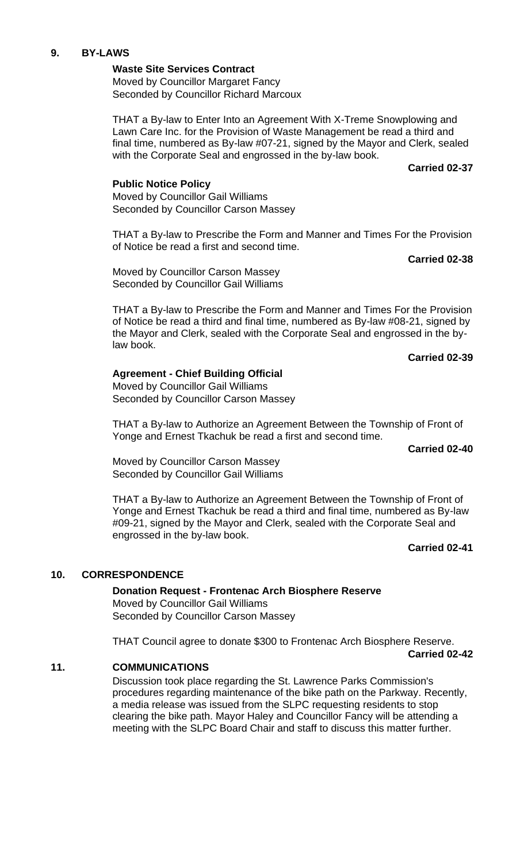#### **9. BY-LAWS**

**Waste Site Services Contract** Moved by Councillor Margaret Fancy Seconded by Councillor Richard Marcoux

THAT a By-law to Enter Into an Agreement With X-Treme Snowplowing and Lawn Care Inc. for the Provision of Waste Management be read a third and final time, numbered as By-law #07-21, signed by the Mayor and Clerk, sealed with the Corporate Seal and engrossed in the by-law book.

**Carried 02-37**

#### **Public Notice Policy**

Moved by Councillor Gail Williams Seconded by Councillor Carson Massey

THAT a By-law to Prescribe the Form and Manner and Times For the Provision of Notice be read a first and second time.

**Carried 02-38**

Moved by Councillor Carson Massey Seconded by Councillor Gail Williams

THAT a By-law to Prescribe the Form and Manner and Times For the Provision of Notice be read a third and final time, numbered as By-law #08-21, signed by the Mayor and Clerk, sealed with the Corporate Seal and engrossed in the bylaw book.

**Carried 02-39**

## **Agreement - Chief Building Official**

Moved by Councillor Gail Williams Seconded by Councillor Carson Massey

THAT a By-law to Authorize an Agreement Between the Township of Front of Yonge and Ernest Tkachuk be read a first and second time.

#### **Carried 02-40**

Moved by Councillor Carson Massey Seconded by Councillor Gail Williams

THAT a By-law to Authorize an Agreement Between the Township of Front of Yonge and Ernest Tkachuk be read a third and final time, numbered as By-law #09-21, signed by the Mayor and Clerk, sealed with the Corporate Seal and engrossed in the by-law book.

**Carried 02-41**

## **10. CORRESPONDENCE**

**Donation Request - Frontenac Arch Biosphere Reserve** Moved by Councillor Gail Williams Seconded by Councillor Carson Massey

THAT Council agree to donate \$300 to Frontenac Arch Biosphere Reserve. **Carried 02-42**

#### **11. COMMUNICATIONS**

Discussion took place regarding the St. Lawrence Parks Commission's procedures regarding maintenance of the bike path on the Parkway. Recently, a media release was issued from the SLPC requesting residents to stop clearing the bike path. Mayor Haley and Councillor Fancy will be attending a meeting with the SLPC Board Chair and staff to discuss this matter further.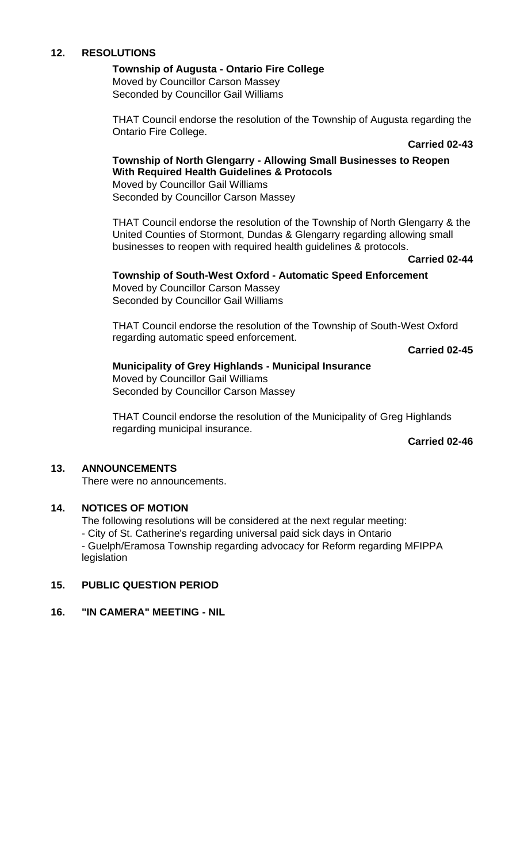## **12. RESOLUTIONS**

# **Township of Augusta - Ontario Fire College**

Moved by Councillor Carson Massey Seconded by Councillor Gail Williams

THAT Council endorse the resolution of the Township of Augusta regarding the Ontario Fire College.

#### **Carried 02-43**

#### **Township of North Glengarry - Allowing Small Businesses to Reopen With Required Health Guidelines & Protocols** Moved by Councillor Gail Williams

Seconded by Councillor Carson Massey

THAT Council endorse the resolution of the Township of North Glengarry & the United Counties of Stormont, Dundas & Glengarry regarding allowing small businesses to reopen with required health guidelines & protocols.

**Carried 02-44**

# **Township of South-West Oxford - Automatic Speed Enforcement**

Moved by Councillor Carson Massey Seconded by Councillor Gail Williams

THAT Council endorse the resolution of the Township of South-West Oxford regarding automatic speed enforcement.

**Carried 02-45**

## **Municipality of Grey Highlands - Municipal Insurance**

Moved by Councillor Gail Williams Seconded by Councillor Carson Massey

THAT Council endorse the resolution of the Municipality of Greg Highlands regarding municipal insurance.

**Carried 02-46**

## **13. ANNOUNCEMENTS**

There were no announcements.

## **14. NOTICES OF MOTION**

The following resolutions will be considered at the next regular meeting:

- City of St. Catherine's regarding universal paid sick days in Ontario

- Guelph/Eramosa Township regarding advocacy for Reform regarding MFIPPA legislation

# **15. PUBLIC QUESTION PERIOD**

#### **16. "IN CAMERA" MEETING - NIL**